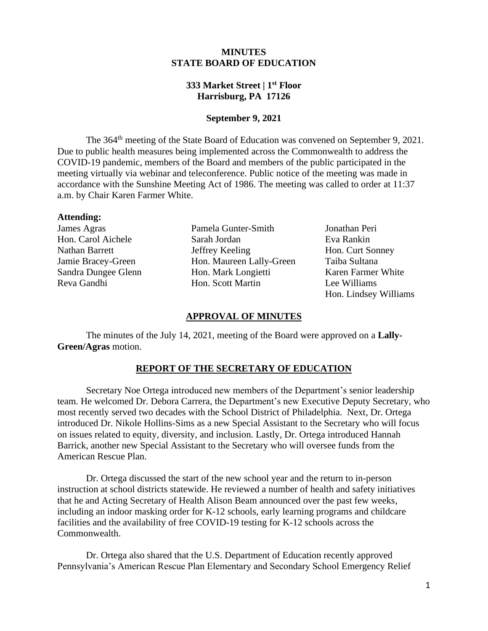## **MINUTES STATE BOARD OF EDUCATION**

## **333 Market Street | 1st Floor Harrisburg, PA 17126**

#### **September 9, 2021**

The 364<sup>th</sup> meeting of the State Board of Education was convened on September 9, 2021. Due to public health measures being implemented across the Commonwealth to address the COVID-19 pandemic, members of the Board and members of the public participated in the meeting virtually via webinar and teleconference. Public notice of the meeting was made in accordance with the Sunshine Meeting Act of 1986. The meeting was called to order at 11:37 a.m. by Chair Karen Farmer White.

#### **Attending:**

James Agras Pamela Gunter-Smith Jonathan Peri Hon. Carol Aichele Sarah Jordan Eva Rankin Nathan Barrett Jeffrey Keeling Hon. Curt Sonney Jamie Bracey-Green Hon. Maureen Lally-Green Taiba Sultana Sandra Dungee Glenn Hon. Mark Longietti Karen Farmer White Reva Gandhi Hon. Scott Martin Lee Williams

Hon. Lindsey Williams

#### **APPROVAL OF MINUTES**

The minutes of the July 14, 2021, meeting of the Board were approved on a **Lally-Green/Agras** motion.

# **REPORT OF THE SECRETARY OF EDUCATION**

Secretary Noe Ortega introduced new members of the Department's senior leadership team. He welcomed Dr. Debora Carrera, the Department's new Executive Deputy Secretary, who most recently served two decades with the School District of Philadelphia. Next, Dr. Ortega introduced Dr. Nikole Hollins-Sims as a new Special Assistant to the Secretary who will focus on issues related to equity, diversity, and inclusion. Lastly, Dr. Ortega introduced Hannah Barrick, another new Special Assistant to the Secretary who will oversee funds from the American Rescue Plan.

Dr. Ortega discussed the start of the new school year and the return to in-person instruction at school districts statewide. He reviewed a number of health and safety initiatives that he and Acting Secretary of Health Alison Beam announced over the past few weeks, including an indoor masking order for K-12 schools, early learning programs and childcare facilities and the availability of free COVID-19 testing for K-12 schools across the Commonwealth.

Dr. Ortega also shared that the U.S. Department of Education recently approved Pennsylvania's American Rescue Plan Elementary and Secondary School Emergency Relief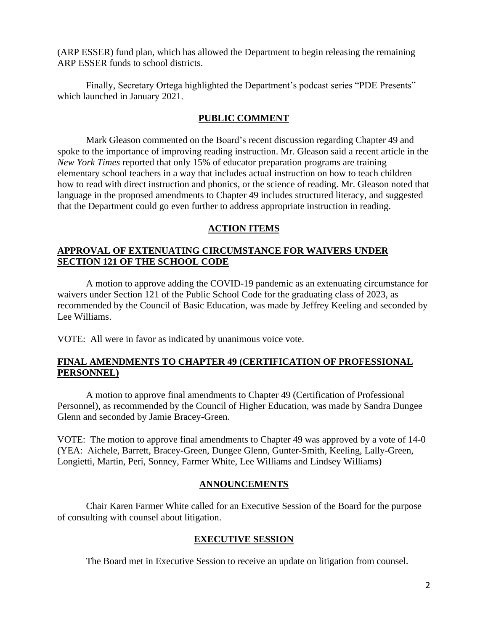(ARP ESSER) fund plan, which has allowed the Department to begin releasing the remaining ARP ESSER funds to school districts.

Finally, Secretary Ortega highlighted the Department's podcast series "PDE Presents" which launched in January 2021.

#### **PUBLIC COMMENT**

Mark Gleason commented on the Board's recent discussion regarding Chapter 49 and spoke to the importance of improving reading instruction. Mr. Gleason said a recent article in the *New York Times* reported that only 15% of educator preparation programs are training elementary school teachers in a way that includes actual instruction on how to teach children how to read with direct instruction and phonics, or the science of reading. Mr. Gleason noted that language in the proposed amendments to Chapter 49 includes structured literacy, and suggested that the Department could go even further to address appropriate instruction in reading.

#### **ACTION ITEMS**

## **APPROVAL OF EXTENUATING CIRCUMSTANCE FOR WAIVERS UNDER SECTION 121 OF THE SCHOOL CODE**

A motion to approve adding the COVID-19 pandemic as an extenuating circumstance for waivers under Section 121 of the Public School Code for the graduating class of 2023, as recommended by the Council of Basic Education, was made by Jeffrey Keeling and seconded by Lee Williams.

VOTE: All were in favor as indicated by unanimous voice vote.

## **FINAL AMENDMENTS TO CHAPTER 49 (CERTIFICATION OF PROFESSIONAL PERSONNEL)**

A motion to approve final amendments to Chapter 49 (Certification of Professional Personnel), as recommended by the Council of Higher Education, was made by Sandra Dungee Glenn and seconded by Jamie Bracey-Green.

 (YEA: Aichele, Barrett, Bracey-Green, Dungee Glenn, Gunter-Smith, Keeling, Lally-Green, VOTE: The motion to approve final amendments to Chapter 49 was approved by a vote of 14-0 Longietti, Martin, Peri, Sonney, Farmer White, Lee Williams and Lindsey Williams)

#### **ANNOUNCEMENTS**

Chair Karen Farmer White called for an Executive Session of the Board for the purpose of consulting with counsel about litigation.

#### **EXECUTIVE SESSION**

The Board met in Executive Session to receive an update on litigation from counsel.